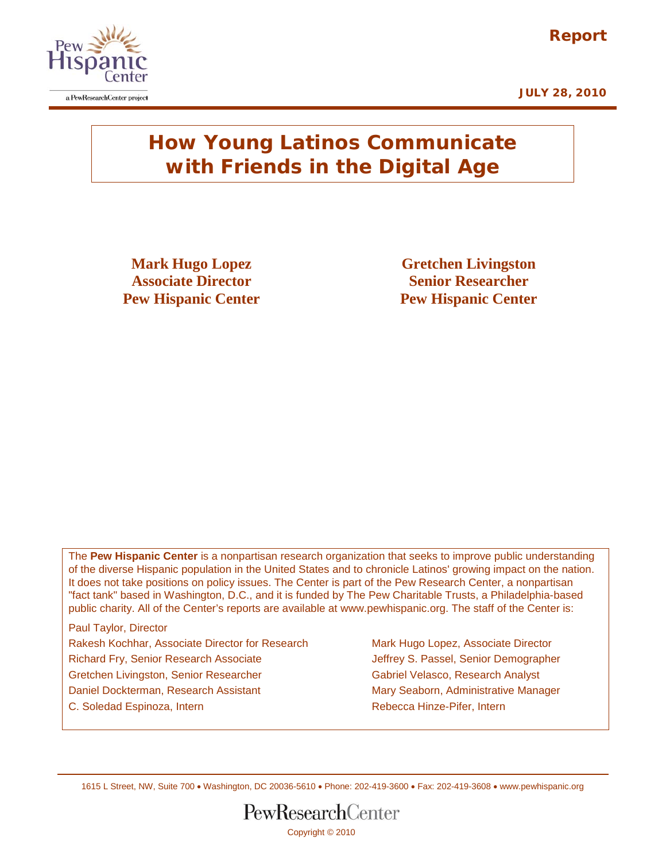



## **How Young Latinos Communicate with Friends in the Digital Age**

**Mark Hugo Lopez Gretchen Livingston Associate Director Senior Researcher Pew Hispanic Center Pew Hispanic Center**

The **Pew Hispanic Center** is a nonpartisan research organization that seeks to improve public understanding of the diverse Hispanic population in the United States and to chronicle Latinos' growing impact on the nation. It does not take positions on policy issues. The Center is part of the Pew Research Center, a nonpartisan "fact tank" based in Washington, D.C., and it is funded by The Pew Charitable Trusts, a Philadelphia-based public charity. All of the Center's reports are available at www.pewhispanic.org. The staff of the Center is:

Paul Taylor, Director Rakesh Kochhar, Associate Director for Research Mark Hugo Lopez, Associate Director Richard Fry, Senior Research Associate Jeffrey S. Passel, Senior Demographer Gretchen Livingston, Senior Researcher Gabriel Velasco, Research Analyst Daniel Dockterman, Research Assistant Mary Seaborn, Administrative Manager C. Soledad Espinoza, Intern **Rebecca Hinze-Pifer**, Intern Rebecca Hinze-Pifer, Intern

1615 L Street, NW, Suite 700 • Washington, DC 20036-5610 • Phone: 202-419-3600 • Fax: 202-419-3608 • [www.pewhispanic.org](http://www.pewhispanic.org/)

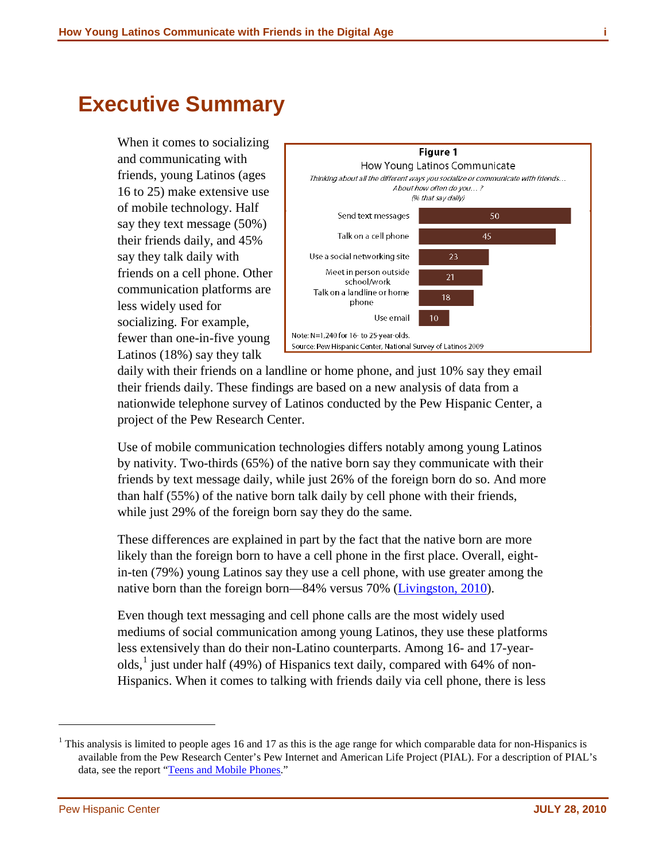## <span id="page-1-1"></span>**Executive Summary**

When it comes to socializing and communicating with friends, young Latinos (ages 16 to 25) make extensive use of mobile technology. Half say they text message (50%) their friends daily, and 45% say they talk daily with friends on a cell phone. Other communication platforms are less widely used for socializing. For example, fewer than one-in-five young Latinos (18%) say they talk



daily with their friends on a landline or home phone, and just 10% say they email their friends daily. These findings are based on a new analysis of data from a nationwide telephone survey of Latinos conducted by the Pew Hispanic Center, a project of the Pew Research Center.

Use of mobile communication technologies differs notably among young Latinos by nativity. Two-thirds (65%) of the native born say they communicate with their friends by text message daily, while just 26% of the foreign born do so. And more than half (55%) of the native born talk daily by cell phone with their friends, while just 29% of the foreign born say they do the same.

These differences are explained in part by the fact that the native born are more likely than the foreign born to have a cell phone in the first place. Overall, eightin-ten (79%) young Latinos say they use a cell phone, with use greater among the native born than the foreign born—84% versus 70% [\(Livingston, 2010\)](http://pewhispanic.org/report.php?ReportID=123).

Even though text messaging and cell phone calls are the most widely used mediums of social communication among young Latinos, they use these platforms less extensively than do their non-Latino counterparts. Among 16- and 17-year-olds,<sup>[1](#page-1-0)</sup> just under half (49%) of Hispanics text daily, compared with 64% of non-Hispanics. When it comes to talking with friends daily via cell phone, there is less

 $\overline{a}$ 

<span id="page-1-0"></span><sup>&</sup>lt;sup>1</sup> This analysis is limited to people ages 16 and 17 as this is the age range for which comparable data for non-Hispanics is available from the Pew Research Center's Pew Internet and American Life Project (PIAL). For a description of PIAL's data, see the report "[Teens and Mobile Phones.](http://pewinternet.org/Reports/2010/Teens-and-Mobile-Phones.aspx)"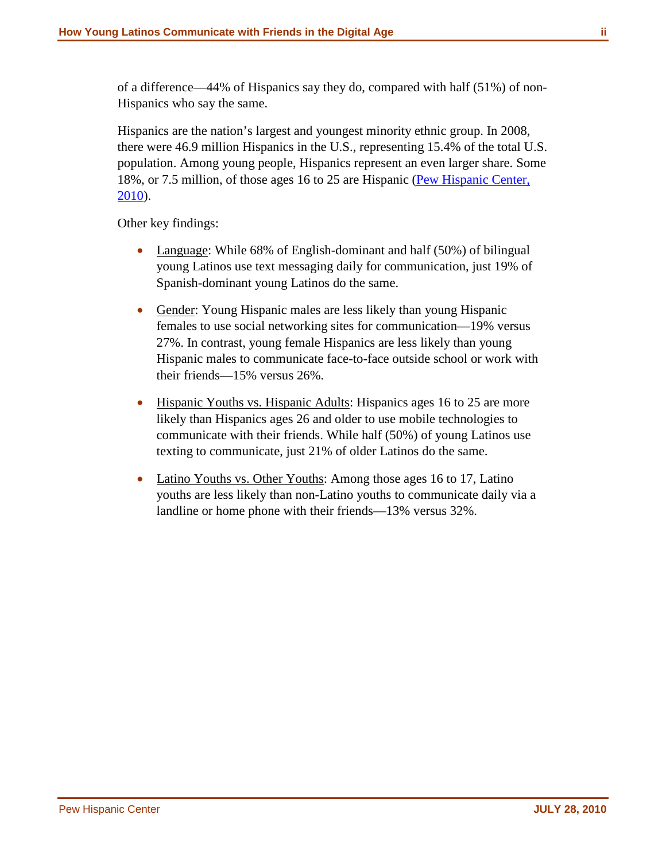of a difference—44% of Hispanics say they do, compared with half (51%) of non-Hispanics who say the same.

Hispanics are the nation's largest and youngest minority ethnic group. In 2008, there were 46.9 million Hispanics in the U.S., representing 15.4% of the total U.S. population. Among young people, Hispanics represent an even larger share. Some 18%, or 7.5 million, of those ages 16 to 25 are Hispanic [\(Pew Hispanic Center,](http://pewhispanic.org/reports/report.php?ReportID=117)  [2010\)](http://pewhispanic.org/reports/report.php?ReportID=117).

Other key findings:

- Language: While 68% of English-dominant and half (50%) of bilingual young Latinos use text messaging daily for communication, just 19% of Spanish-dominant young Latinos do the same.
- Gender: Young Hispanic males are less likely than young Hispanic females to use social networking sites for communication—19% versus 27%. In contrast, young female Hispanics are less likely than young Hispanic males to communicate face-to-face outside school or work with their friends—15% versus 26%.
- Hispanic Youths vs. Hispanic Adults: Hispanics ages 16 to 25 are more likely than Hispanics ages 26 and older to use mobile technologies to communicate with their friends. While half (50%) of young Latinos use texting to communicate, just 21% of older Latinos do the same.
- Latino Youths vs. Other Youths: Among those ages 16 to 17, Latino youths are less likely than non-Latino youths to communicate daily via a landline or home phone with their friends—13% versus 32%.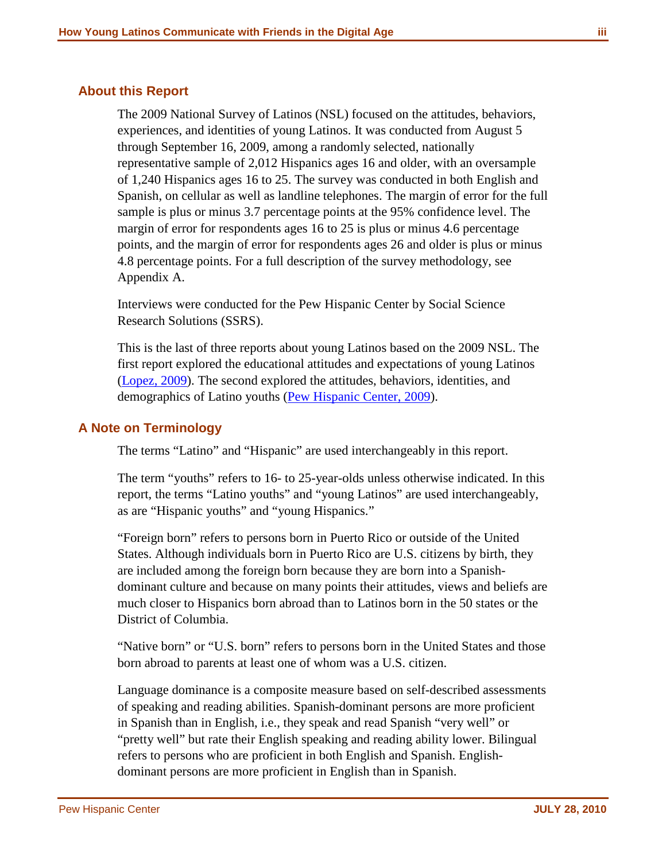## <span id="page-3-0"></span>**About this Report**

The 2009 National Survey of Latinos (NSL) focused on the attitudes, behaviors, experiences, and identities of young Latinos. It was conducted from August 5 through September 16, 2009, among a randomly selected, nationally representative sample of 2,012 Hispanics ages 16 and older, with an oversample of 1,240 Hispanics ages 16 to 25. The survey was conducted in both English and Spanish, on cellular as well as landline telephones. The margin of error for the full sample is plus or minus 3.7 percentage points at the 95% confidence level. The margin of error for respondents ages 16 to 25 is plus or minus 4.6 percentage points, and the margin of error for respondents ages 26 and older is plus or minus 4.8 percentage points. For a full description of the survey methodology, see Appendix A.

Interviews were conducted for the Pew Hispanic Center by Social Science Research Solutions (SSRS).

This is the last of three reports about young Latinos based on the 2009 NSL. The first report explored the educational attitudes and expectations of young Latinos [\(Lopez, 2009\)](http://pewhispanic.org/reports/report.php?ReportID=115). The second explored the attitudes, behaviors, identities, and demographics of Latino youths [\(Pew Hispanic Center, 2009\)](http://pewhispanic.org/reports/report.php?ReportID=117).

## <span id="page-3-1"></span>**A Note on Terminology**

The terms "Latino" and "Hispanic" are used interchangeably in this report.

The term "youths" refers to 16- to 25-year-olds unless otherwise indicated. In this report, the terms "Latino youths" and "young Latinos" are used interchangeably, as are "Hispanic youths" and "young Hispanics."

"Foreign born" refers to persons born in Puerto Rico or outside of the United States. Although individuals born in Puerto Rico are U.S. citizens by birth, they are included among the foreign born because they are born into a Spanishdominant culture and because on many points their attitudes, views and beliefs are much closer to Hispanics born abroad than to Latinos born in the 50 states or the District of Columbia.

"Native born" or "U.S. born" refers to persons born in the United States and those born abroad to parents at least one of whom was a U.S. citizen.

Language dominance is a composite measure based on self-described assessments of speaking and reading abilities. Spanish-dominant persons are more proficient in Spanish than in English, i.e., they speak and read Spanish "very well" or "pretty well" but rate their English speaking and reading ability lower. Bilingual refers to persons who are proficient in both English and Spanish. Englishdominant persons are more proficient in English than in Spanish.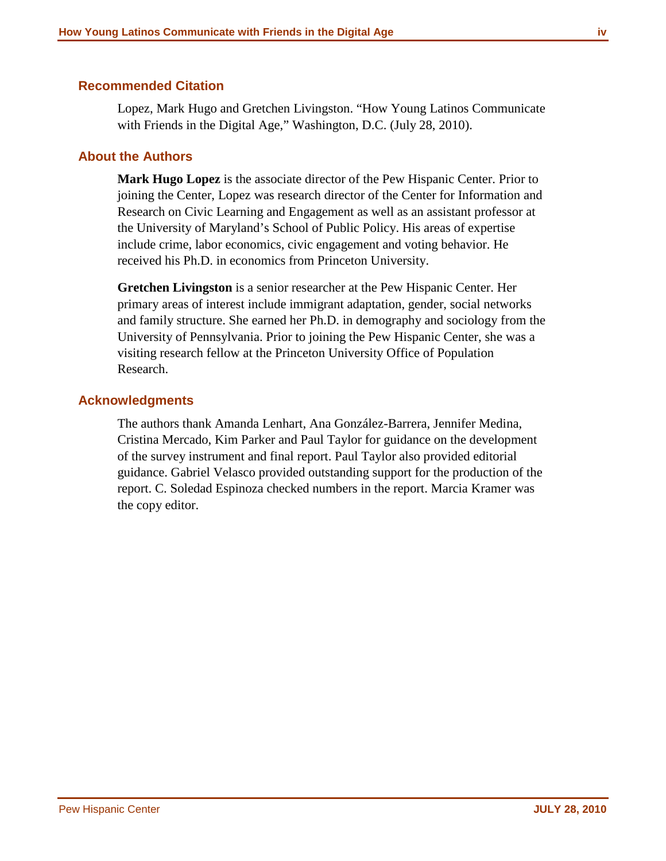### <span id="page-4-0"></span>**Recommended Citation**

Lopez, Mark Hugo and Gretchen Livingston. "How Young Latinos Communicate with Friends in the Digital Age," Washington, D.C. (July 28, 2010).

### <span id="page-4-1"></span>**About the Authors**

**Mark Hugo Lopez** is the associate director of the Pew Hispanic Center. Prior to joining the Center, Lopez was research director of the Center for Information and Research on Civic Learning and Engagement as well as an assistant professor at the University of Maryland's School of Public Policy. His areas of expertise include crime, labor economics, civic engagement and voting behavior. He received his Ph.D. in economics from Princeton University.

**Gretchen Livingston** is a senior researcher at the Pew Hispanic Center. Her primary areas of interest include immigrant adaptation, gender, social networks and family structure. She earned her Ph.D. in demography and sociology from the University of Pennsylvania. Prior to joining the Pew Hispanic Center, she was a visiting research fellow at the Princeton University Office of Population Research.

## <span id="page-4-2"></span>**Acknowledgments**

The authors thank Amanda Lenhart, Ana González-Barrera, Jennifer Medina, Cristina Mercado, Kim Parker and Paul Taylor for guidance on the development of the survey instrument and final report. Paul Taylor also provided editorial guidance. Gabriel Velasco provided outstanding support for the production of the report. C. Soledad Espinoza checked numbers in the report. Marcia Kramer was the copy editor.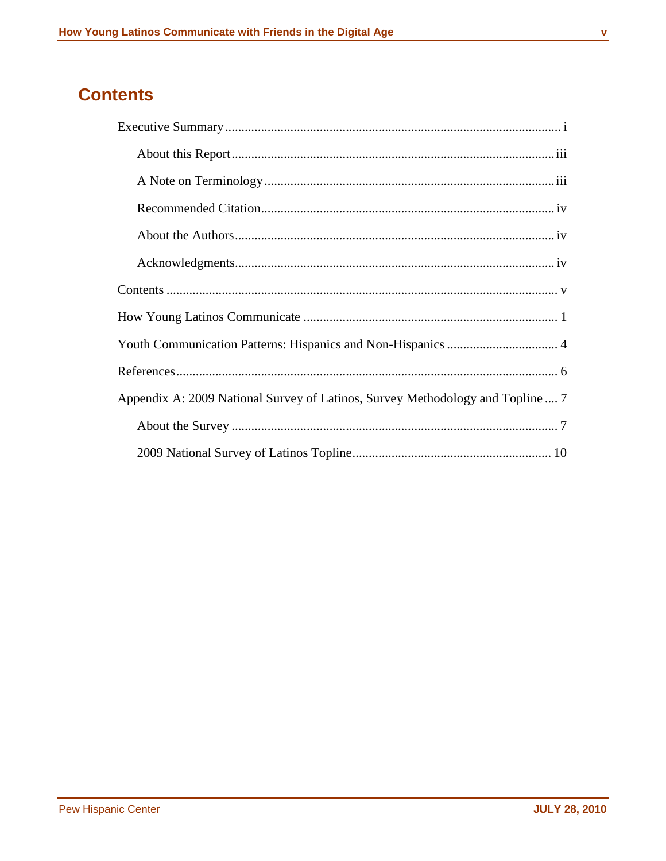## <span id="page-5-0"></span>**Contents**

| Appendix A: 2009 National Survey of Latinos, Survey Methodology and Topline  7 |
|--------------------------------------------------------------------------------|
|                                                                                |
|                                                                                |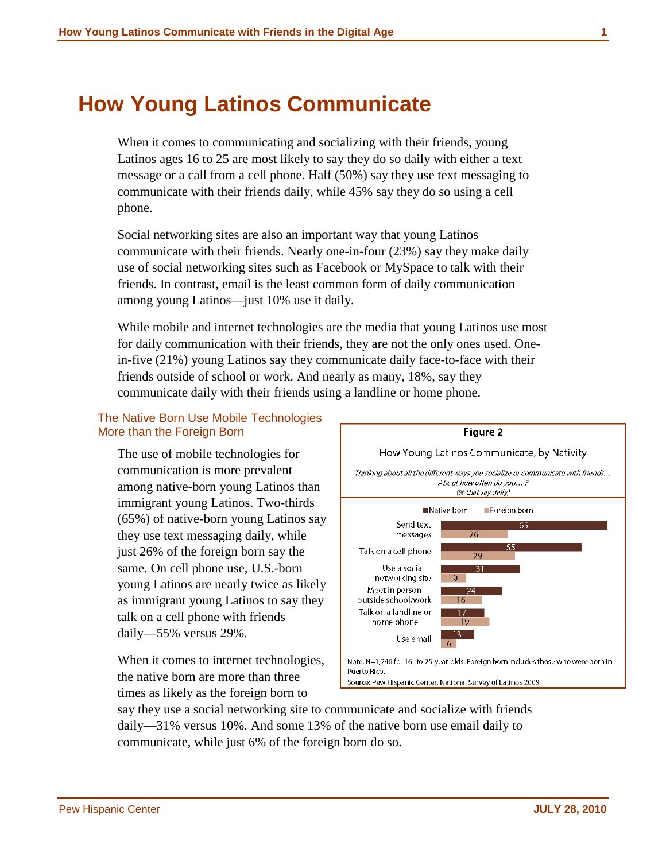## <span id="page-6-0"></span>**How Young Latinos Communicate**

When it comes to communicating and socializing with their friends, young Latinos ages 16 to 25 are most likely to say they do so daily with either a text message or a call from a cell phone. Half (50%) say they use text messaging to communicate with their friends daily, while 45% say they do so using a cell phone.

Social networking sites are also an important way that young Latinos communicate with their friends. Nearly one-in-four (23%) say they make daily use of social networking sites such as Facebook or MySpace to talk with their friends. In contrast, email is the least common form of daily communication among young Latinos—just 10% use it daily.

While mobile and internet technologies are the media that young Latinos use most for daily communication with their friends, they are not the only ones used. Onein-five (21%) young Latinos say they communicate daily face-to-face with their friends outside of school or work. And nearly as many, 18%, say they communicate daily with their friends using a landline or home phone.

## The Native Born Use Mobile Technologies More than the Foreign Born

The use of mobile technologies for communication is more prevalent among native-born young Latinos than immigrant young Latinos. Two-thirds (65%) of native-born young Latinos say they use text messaging daily, while just 26% of the foreign born say the same. On cell phone use, U.S.-born young Latinos are nearly twice as likely as immigrant young Latinos to say they talk on a cell phone with friends daily—55% versus 29%.

When it comes to internet technologies, the native born are more than three times as likely as the foreign born to



say they use a social networking site to communicate and socialize with friends daily—31% versus 10%. And some 13% of the native born use email daily to communicate, while just 6% of the foreign born do so.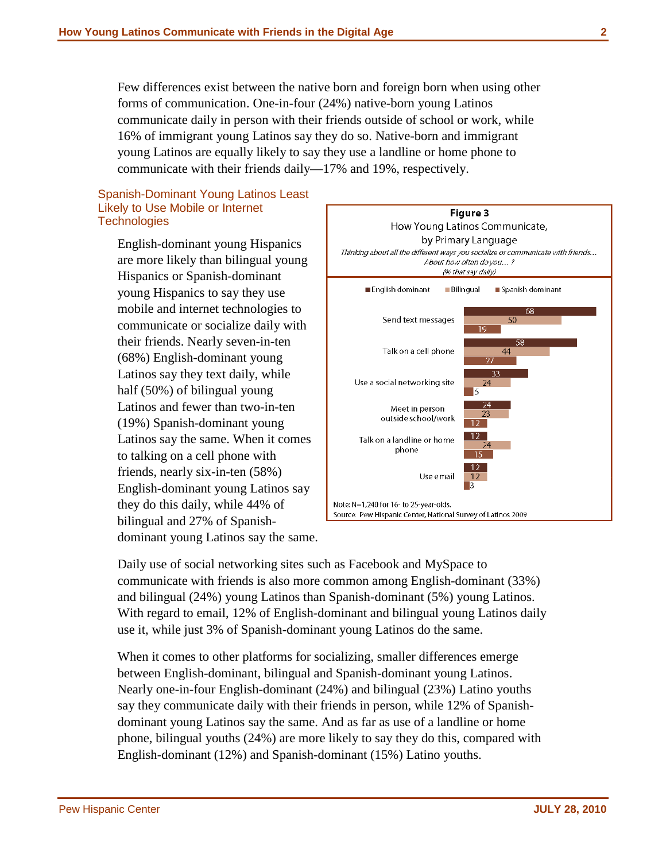Few differences exist between the native born and foreign born when using other forms of communication. One-in-four (24%) native-born young Latinos communicate daily in person with their friends outside of school or work, while 16% of immigrant young Latinos say they do so. Native-born and immigrant young Latinos are equally likely to say they use a landline or home phone to communicate with their friends daily—17% and 19%, respectively.

#### Spanish-Dominant Young Latinos Least Likely to Use Mobile or Internet **Technologies**

English-dominant young Hispanics are more likely than bilingual young Hispanics or Spanish-dominant young Hispanics to say they use mobile and internet technologies to communicate or socialize daily with their friends. Nearly seven-in-ten (68%) English-dominant young Latinos say they text daily, while half (50%) of bilingual young Latinos and fewer than two-in-ten (19%) Spanish-dominant young Latinos say the same. When it comes to talking on a cell phone with friends, nearly six-in-ten (58%) English-dominant young Latinos say they do this daily, while 44% of bilingual and 27% of Spanishdominant young Latinos say the same.



Daily use of social networking sites such as Facebook and MySpace to communicate with friends is also more common among English-dominant (33%) and bilingual (24%) young Latinos than Spanish-dominant (5%) young Latinos. With regard to email, 12% of English-dominant and bilingual young Latinos daily use it, while just 3% of Spanish-dominant young Latinos do the same.

When it comes to other platforms for socializing, smaller differences emerge between English-dominant, bilingual and Spanish-dominant young Latinos. Nearly one-in-four English-dominant (24%) and bilingual (23%) Latino youths say they communicate daily with their friends in person, while 12% of Spanishdominant young Latinos say the same. And as far as use of a landline or home phone, bilingual youths (24%) are more likely to say they do this, compared with English-dominant (12%) and Spanish-dominant (15%) Latino youths.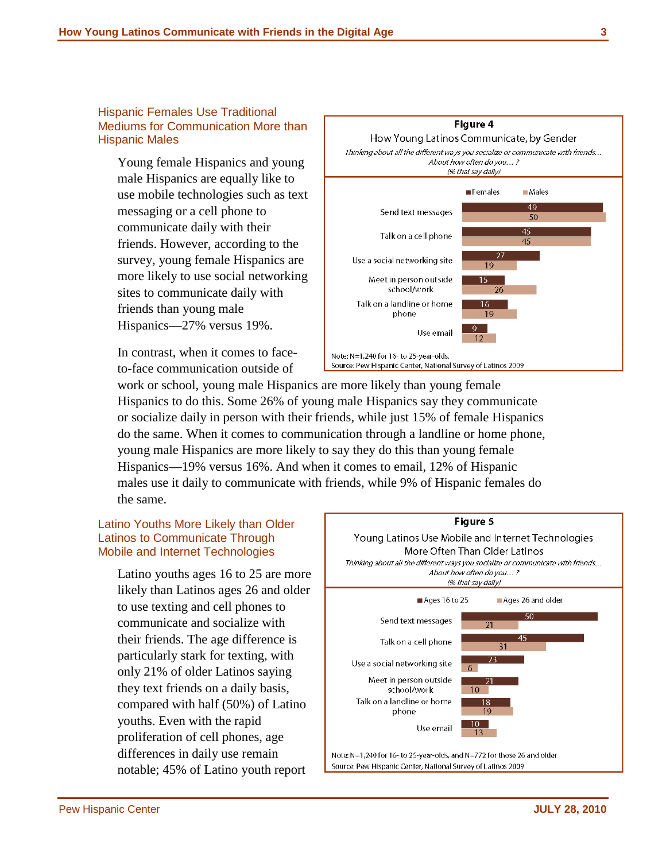#### Hispanic Females Use Traditional Mediums for Communication More than Hispanic Males

Young female Hispanics and young male Hispanics are equally like to use mobile technologies such as text messaging or a cell phone to communicate daily with their friends. However, according to the survey, young female Hispanics are more likely to use social networking sites to communicate daily with friends than young male Hispanics—27% versus 19%.

In contrast, when it comes to faceto-face communication outside of

work or school, young male Hispanics are more likely than young female Hispanics to do this. Some 26% of young male Hispanics say they communicate or socialize daily in person with their friends, while just 15% of female Hispanics do the same. When it comes to communication through a landline or home phone, young male Hispanics are more likely to say they do this than young female Hispanics—19% versus 16%. And when it comes to email, 12% of Hispanic males use it daily to communicate with friends, while 9% of Hispanic females do the same.

## Latino Youths More Likely than Older Latinos to Communicate Through Mobile and Internet Technologies

Latino youths ages 16 to 25 are more likely than Latinos ages 26 and older to use texting and cell phones to communicate and socialize with their friends. The age difference is particularly stark for texting, with only 21% of older Latinos saying they text friends on a daily basis, compared with half (50%) of Latino youths. Even with the rapid proliferation of cell phones, age differences in daily use remain notable; 45% of Latino youth report





#### Figure 4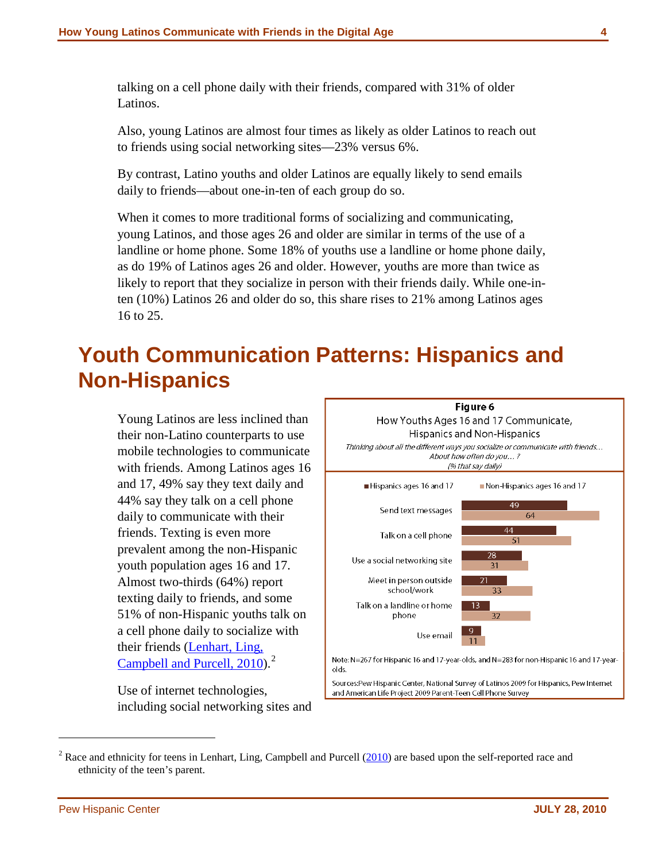talking on a cell phone daily with their friends, compared with 31% of older Latinos.

Also, young Latinos are almost four times as likely as older Latinos to reach out to friends using social networking sites—23% versus 6%.

By contrast, Latino youths and older Latinos are equally likely to send emails daily to friends—about one-in-ten of each group do so.

When it comes to more traditional forms of socializing and communicating, young Latinos, and those ages 26 and older are similar in terms of the use of a landline or home phone. Some 18% of youths use a landline or home phone daily, as do 19% of Latinos ages 26 and older. However, youths are more than twice as likely to report that they socialize in person with their friends daily. While one-inten (10%) Latinos 26 and older do so, this share rises to 21% among Latinos ages 16 to 25.

# <span id="page-9-0"></span>**Youth Communication Patterns: Hispanics and Non-Hispanics**

Young Latinos are less inclined than their non-Latino counterparts to use mobile technologies to communicate with friends. Among Latinos ages 16 and 17, 49% say they text daily and 44% say they talk on a cell phone daily to communicate with their friends. Texting is even more prevalent among the non-Hispanic youth population ages 16 and 17. Almost two-thirds (64%) report texting daily to friends, and some 51% of non-Hispanic youths talk on a cell phone daily to socialize with their friends [\(Lenhart, Ling,](http://pewinternet.org/Reports/2010/Teens-and-Mobile-Phones.aspx)  [Campbell and Purcell, 2010\)](http://pewinternet.org/Reports/2010/Teens-and-Mobile-Phones.aspx).<sup>[2](#page-9-1)</sup>

Use of internet technologies, including social networking sites and



 $\overline{a}$ 

<span id="page-9-1"></span> $2^2$  Race and ethnicity for teens in Lenhart, Ling, Campbell and Purcell ( $2010$ ) are based upon the self-reported race and ethnicity of the teen's parent.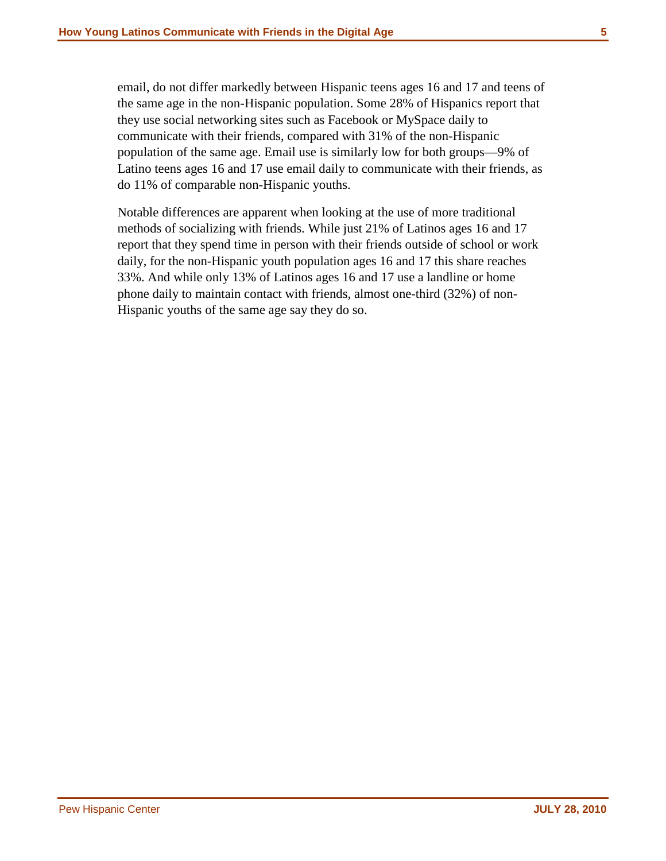email, do not differ markedly between Hispanic teens ages 16 and 17 and teens of the same age in the non-Hispanic population. Some 28% of Hispanics report that they use social networking sites such as Facebook or MySpace daily to communicate with their friends, compared with 31% of the non-Hispanic population of the same age. Email use is similarly low for both groups—9% of Latino teens ages 16 and 17 use email daily to communicate with their friends, as do 11% of comparable non-Hispanic youths.

Notable differences are apparent when looking at the use of more traditional methods of socializing with friends. While just 21% of Latinos ages 16 and 17 report that they spend time in person with their friends outside of school or work daily, for the non-Hispanic youth population ages 16 and 17 this share reaches 33%. And while only 13% of Latinos ages 16 and 17 use a landline or home phone daily to maintain contact with friends, almost one-third (32%) of non-Hispanic youths of the same age say they do so.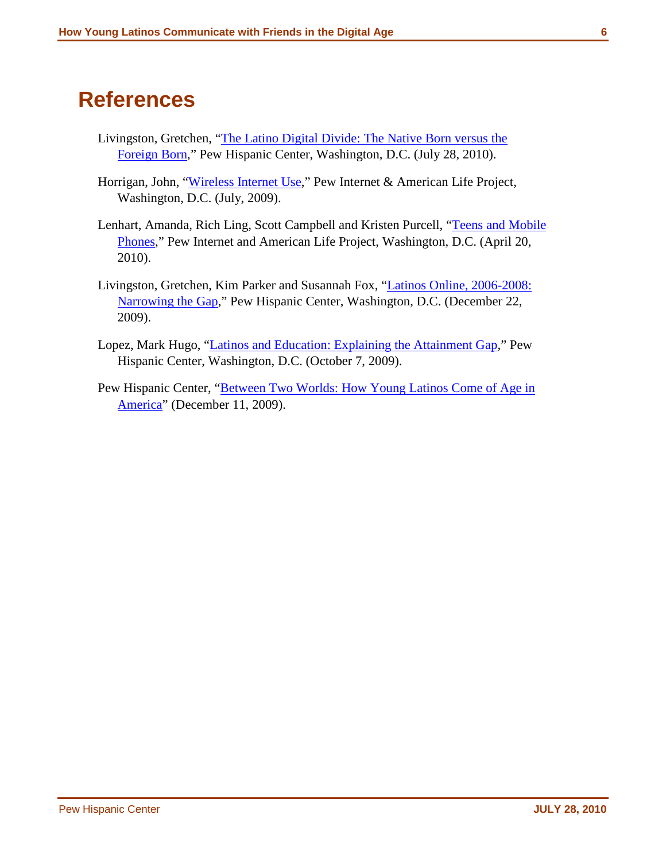## <span id="page-11-0"></span>**References**

- Livingston, Gretchen, ["The Latino Digital Divide: The Native Born versus the](http://pewhispanic.org/report.php?ReportID=123)  [Foreign Born,](http://pewhispanic.org/report.php?ReportID=123)" Pew Hispanic Center, Washington, D.C. (July 28, 2010).
- Horrigan, John, ["Wireless Internet Use,](http://www.pewinternet.org/Reports/2009/12-Wireless-Internet-Use.aspx?r=1)" Pew Internet & American Life Project, Washington, D.C. (July, 2009).
- Lenhart, Amanda, Rich Ling, Scott Campbell and Kristen Purcell, ["Teens and Mobile](http://www.pewinternet.org/Reports/2010/Teens-and-Mobile-Phones.aspx)  [Phones,](http://www.pewinternet.org/Reports/2010/Teens-and-Mobile-Phones.aspx)" Pew Internet and American Life Project, Washington, D.C. (April 20, 2010).
- Livingston, Gretchen, Kim Parker and Susannah Fox, ["Latinos Online, 2006-2008:](http://pewhispanic.org/reports/report.php?ReportID=119)  [Narrowing the Gap,](http://pewhispanic.org/reports/report.php?ReportID=119)" Pew Hispanic Center, Washington, D.C. (December 22, 2009).
- Lopez, Mark Hugo, ["Latinos and Education: Explaining the Attainment Gap,](http://pewhispanic.org/reports/report.php?ReportID=115)" Pew Hispanic Center, Washington, D.C. (October 7, 2009).
- Pew Hispanic Center, "Between Two Worlds: How Young Latinos Come of Age in [America"](http://pewhispanic.org/reports/report.php?ReportID=117) (December 11, 2009).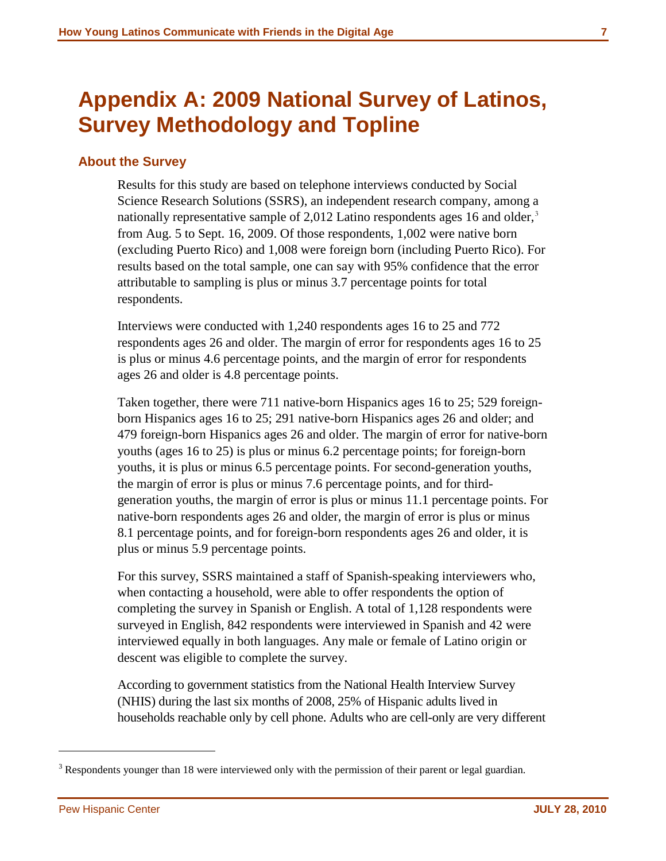## <span id="page-12-0"></span>**Appendix A: 2009 National Survey of Latinos, Survey Methodology and Topline**

## <span id="page-12-1"></span>**About the Survey**

Results for this study are based on telephone interviews conducted by Social Science Research Solutions (SSRS), an independent research company, among a nationally representative sample of 2,012 Latino respondents ages 16 and older,<sup>[3](#page-12-2)</sup> from Aug. 5 to Sept. 16, 2009. Of those respondents, 1,002 were native born (excluding Puerto Rico) and 1,008 were foreign born (including Puerto Rico). For results based on the total sample, one can say with 95% confidence that the error attributable to sampling is plus or minus 3.7 percentage points for total respondents.

Interviews were conducted with 1,240 respondents ages 16 to 25 and 772 respondents ages 26 and older. The margin of error for respondents ages 16 to 25 is plus or minus 4.6 percentage points, and the margin of error for respondents ages 26 and older is 4.8 percentage points.

Taken together, there were 711 native-born Hispanics ages 16 to 25; 529 foreignborn Hispanics ages 16 to 25; 291 native-born Hispanics ages 26 and older; and 479 foreign-born Hispanics ages 26 and older. The margin of error for native-born youths (ages 16 to 25) is plus or minus 6.2 percentage points; for foreign-born youths, it is plus or minus 6.5 percentage points. For second-generation youths, the margin of error is plus or minus 7.6 percentage points, and for thirdgeneration youths, the margin of error is plus or minus 11.1 percentage points. For native-born respondents ages 26 and older, the margin of error is plus or minus 8.1 percentage points, and for foreign-born respondents ages 26 and older, it is plus or minus 5.9 percentage points.

For this survey, SSRS maintained a staff of Spanish-speaking interviewers who, when contacting a household, were able to offer respondents the option of completing the survey in Spanish or English. A total of 1,128 respondents were surveyed in English, 842 respondents were interviewed in Spanish and 42 were interviewed equally in both languages. Any male or female of Latino origin or descent was eligible to complete the survey.

According to government statistics from the National Health Interview Survey (NHIS) during the last six months of 2008, 25% of Hispanic adults lived in households reachable only by cell phone. Adults who are cell-only are very different

 $\overline{a}$ 

<span id="page-12-2"></span><sup>&</sup>lt;sup>3</sup> Respondents younger than 18 were interviewed only with the permission of their parent or legal guardian.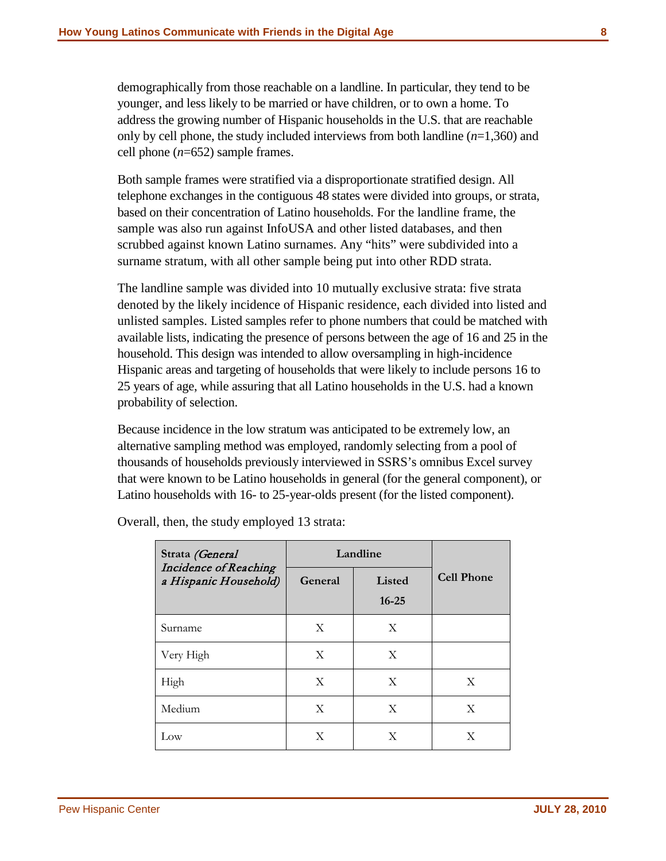demographically from those reachable on a landline. In particular, they tend to be younger, and less likely to be married or have children, or to own a home. To address the growing number of Hispanic households in the U.S. that are reachable only by cell phone, the study included interviews from both landline (*n*=1,360) and cell phone (*n*=652) sample frames.

Both sample frames were stratified via a disproportionate stratified design. All telephone exchanges in the contiguous 48 states were divided into groups, or strata, based on their concentration of Latino households. For the landline frame, the sample was also run against InfoUSA and other listed databases, and then scrubbed against known Latino surnames. Any "hits" were subdivided into a surname stratum, with all other sample being put into other RDD strata.

The landline sample was divided into 10 mutually exclusive strata: five strata denoted by the likely incidence of Hispanic residence, each divided into listed and unlisted samples. Listed samples refer to phone numbers that could be matched with available lists, indicating the presence of persons between the age of 16 and 25 in the household. This design was intended to allow oversampling in high-incidence Hispanic areas and targeting of households that were likely to include persons 16 to 25 years of age, while assuring that all Latino households in the U.S. had a known probability of selection.

Because incidence in the low stratum was anticipated to be extremely low, an alternative sampling method was employed, randomly selecting from a pool of thousands of households previously interviewed in SSRS's omnibus Excel survey that were known to be Latino households in general (for the general component), or Latino households with 16- to 25-year-olds present (for the listed component).

| Strata (General                                | Landline     |                     |                   |
|------------------------------------------------|--------------|---------------------|-------------------|
| Incidence of Reaching<br>a Hispanic Household) | General      | Listed<br>$16 - 25$ | <b>Cell Phone</b> |
| Surname                                        | X            | X                   |                   |
| Very High                                      | X            | X                   |                   |
| High                                           | $\mathbf{X}$ | X                   | X                 |
| Medium                                         | $\mathbf{X}$ | X                   | X                 |
| Low                                            | X            | X                   | X                 |

Overall, then, the study employed 13 strata: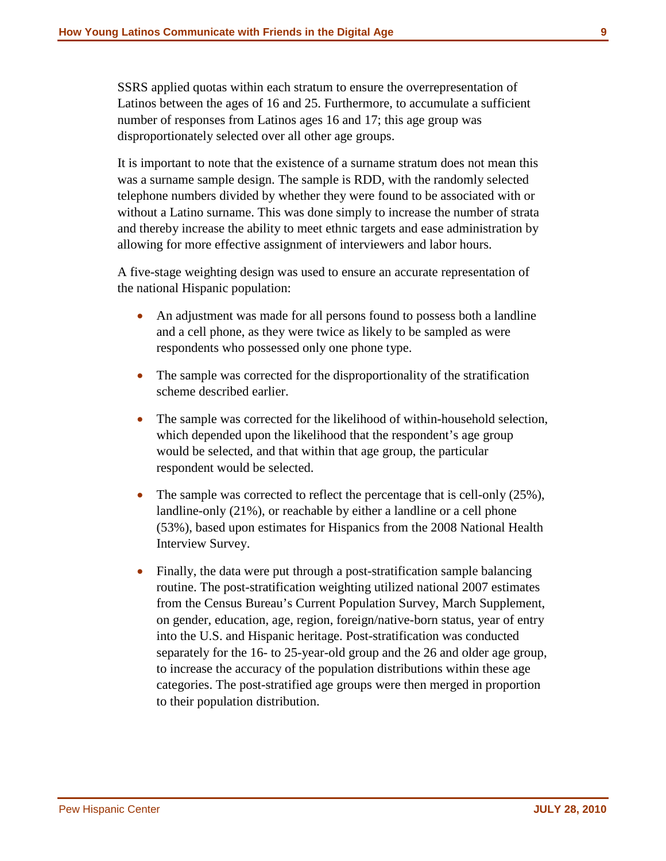SSRS applied quotas within each stratum to ensure the overrepresentation of Latinos between the ages of 16 and 25. Furthermore, to accumulate a sufficient number of responses from Latinos ages 16 and 17; this age group was disproportionately selected over all other age groups.

It is important to note that the existence of a surname stratum does not mean this was a surname sample design. The sample is RDD, with the randomly selected telephone numbers divided by whether they were found to be associated with or without a Latino surname. This was done simply to increase the number of strata and thereby increase the ability to meet ethnic targets and ease administration by allowing for more effective assignment of interviewers and labor hours.

A five-stage weighting design was used to ensure an accurate representation of the national Hispanic population:

- An adjustment was made for all persons found to possess both a landline and a cell phone, as they were twice as likely to be sampled as were respondents who possessed only one phone type.
- The sample was corrected for the disproportionality of the stratification scheme described earlier.
- The sample was corrected for the likelihood of within-household selection, which depended upon the likelihood that the respondent's age group would be selected, and that within that age group, the particular respondent would be selected.
- The sample was corrected to reflect the percentage that is cell-only (25%), landline-only (21%), or reachable by either a landline or a cell phone (53%), based upon estimates for Hispanics from the 2008 National Health Interview Survey.
- Finally, the data were put through a post-stratification sample balancing routine. The post-stratification weighting utilized national 2007 estimates from the Census Bureau's Current Population Survey, March Supplement, on gender, education, age, region, foreign/native-born status, year of entry into the U.S. and Hispanic heritage. Post-stratification was conducted separately for the 16- to 25-year-old group and the 26 and older age group, to increase the accuracy of the population distributions within these age categories. The post-stratified age groups were then merged in proportion to their population distribution.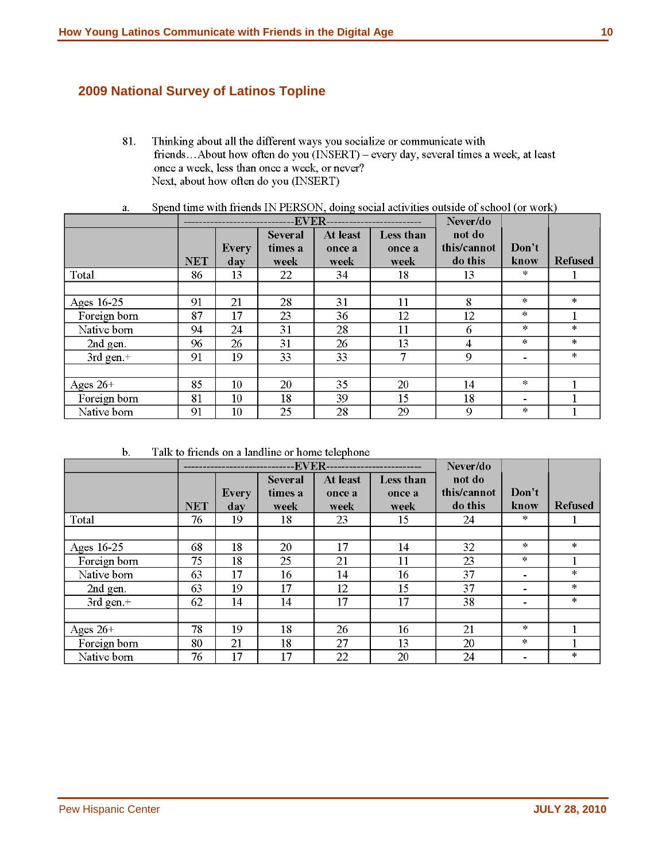## <span id="page-15-0"></span>**2009 National Survey of Latinos Topline**

81. Thinking about all the different ways you socialize or communicate with friends...About how often do you (INSERT) – every day, several times a week, at least once a week, less than once a week, or never? Next, about how often do you (INSERT)

|                |            |                     | <b>EVER</b>                       |                            |                             | Never/do                         |                          |                |
|----------------|------------|---------------------|-----------------------------------|----------------------------|-----------------------------|----------------------------------|--------------------------|----------------|
|                | <b>NET</b> | <b>Every</b><br>day | <b>Several</b><br>times a<br>week | At least<br>once a<br>week | Less than<br>once a<br>week | not do<br>this/cannot<br>do this | Don't<br>know            | <b>Refused</b> |
| Total          | 86         | 13                  | 22                                | 34                         | 18                          | 13                               | $\pm$                    |                |
|                |            |                     |                                   |                            |                             |                                  |                          |                |
| Ages 16-25     | 91         | 21                  | 28                                | 31                         | 11                          | 8                                | $\pm$                    | $\frac{1}{2}$  |
| Foreign born   | 87         | 17                  | 23                                | 36                         | 12                          | 12                               | $\ddot{\ast}$            |                |
| Native born    | 94         | 24                  | 31                                | 28                         | 11                          | 6                                | $\ddot{\ast}$            | $\ast$         |
| 2nd gen.       | 96         | 26                  | 31                                | 26                         | 13                          | 4                                | $\ddagger$               | $\pm$          |
| $3rd$ gen. $+$ | 91         | 19                  | 33                                | 33                         | 7                           | 9                                | $\overline{\phantom{a}}$ | $\ast$         |
|                |            |                     |                                   |                            |                             |                                  |                          |                |
| Ages $26+$     | 85         | 10                  | 20                                | 35                         | 20                          | 14                               | $\ast$                   |                |
| Foreign born   | 81         | 10                  | 18                                | 39                         | 15                          | 18                               | $\blacksquare$           |                |
| Native born    | 91         | 10                  | 25                                | 28                         | 29                          | 9                                | $\pm$                    |                |

Spend time with friends IN PERSON, doing social activities outside of school (or work) a.

 $\mathbf b$ . Talk to friends on a landline or home telephone

|              |            |              |                | -EVER-------------------------- |           | Never/do    |                |                |
|--------------|------------|--------------|----------------|---------------------------------|-----------|-------------|----------------|----------------|
|              |            |              | <b>Several</b> | At least                        | Less than | not do      |                |                |
|              |            | <b>Every</b> | times a        | once a                          | once a    | this/cannot | Don't          |                |
|              | <b>NET</b> | day          | week           | week                            | week      | do this     | know           | <b>Refused</b> |
| Total        | 76         | 19           | 18             | 23                              | 15        | 24          | *              |                |
|              |            |              |                |                                 |           |             |                |                |
| Ages 16-25   | 68         | 18           | 20             | 17                              | 14        | 32          | $\ddagger$     | $\pm$          |
| Foreign born | 75         | 18           | 25             | 21                              | 11        | 23          | $\ast$         |                |
| Native born  | 63         | 17           | 16             | 14                              | 16        | 37          |                | $\ast$         |
| 2nd gen.     | 63         | 19           | 17             | 12                              | 15        | 37          | $\blacksquare$ | $\ast$         |
| 3rd gen. $+$ | 62         | 14           | 14             | 17                              | 17        | 38          |                | $\ast$         |
|              |            |              |                |                                 |           |             |                |                |
| Ages $26+$   | 78         | 19           | 18             | 26                              | 16        | 21          | $\pm$          |                |
| Foreign born | 80         | 21           | 18             | 27                              | 13        | 20          | $\pm$          |                |
| Native born  | 76         | 17           | 17             | 22                              | 20        | 24          |                | $\frac{1}{2}$  |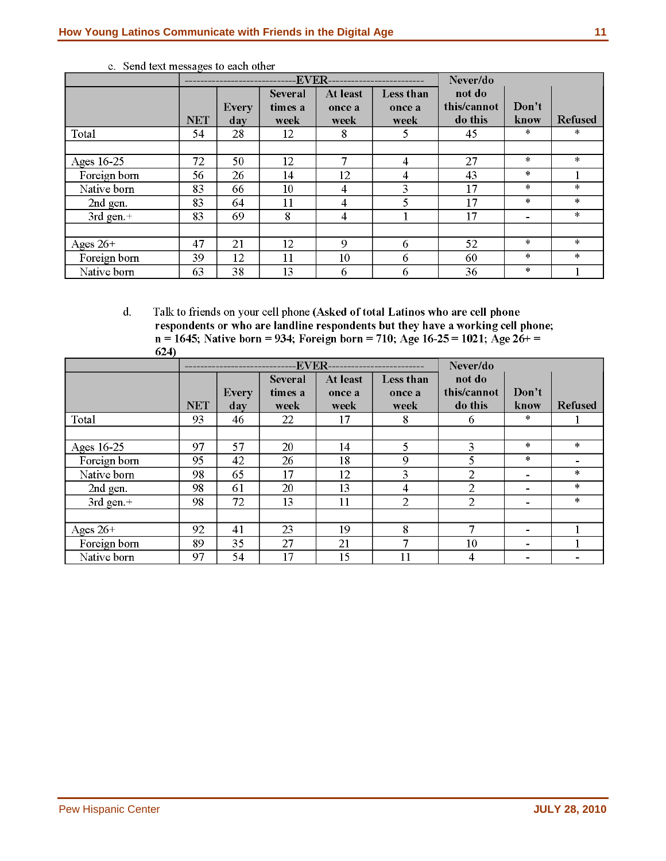|              |            |              | -EVER--        |                |           | Never/do    |               |                |
|--------------|------------|--------------|----------------|----------------|-----------|-------------|---------------|----------------|
|              |            |              | <b>Several</b> | At least       | Less than | not do      |               |                |
|              |            | <b>Every</b> | times a        | once a         | once a    | this/cannot | Don't         |                |
|              | <b>NET</b> | day          | week           | week           | week      | do this     | know          | <b>Refused</b> |
| Total        | 54         | 28           | 12             | 8              | 5         | 45          | *             | *              |
|              |            |              |                |                |           |             |               |                |
| Ages $16-25$ | 72         | 50           | 12             | 7              | 4         | 27          | $\mathcal{H}$ | $\pm$          |
| Foreign born | 56         | 26           | 14             | 12             | 4         | 43          | $\ast$        |                |
| Native born  | 83         | 66           | 10             | $\overline{4}$ | 3         | 17          | *             | *              |
| 2nd gen.     | 83         | 64           | 11             | 4              |           | 17          | $\ast$        | $\ast$         |
| 3rd gen. $+$ | 83         | 69           | 8              | $\overline{4}$ |           | 17          |               | $\pm$          |
|              |            |              |                |                |           |             |               |                |
| Ages $26+$   | 47         | 21           | 12             | $\mathbf Q$    | 6         | 52          | *             | *              |
| Foreign born | 39         | 12           | 11             | 10             | 6         | 60          | $\ast$        | $\ast$         |
| Native born  | 63         | 38           | 13             | 6              | 6         | 36          | $\ast$        |                |

c. Send text messages to each other

 $\mathbf{d}$ . Talk to friends on your cell phone (Asked of total Latinos who are cell phone respondents or who are landline respondents but they have a working cell phone;  $n = 1645$ ; Native born = 934; Foreign born = 710; Age 16-25 = 1021; Age 26+ =  $624)$ 

|                |            | <b>-EVER------------------</b> |                                   |                            |                             | Never/do                         |                          |                |
|----------------|------------|--------------------------------|-----------------------------------|----------------------------|-----------------------------|----------------------------------|--------------------------|----------------|
|                | <b>NET</b> | <b>Every</b><br>day            | <b>Several</b><br>times a<br>week | At least<br>once a<br>week | Less than<br>once a<br>week | not do<br>this/cannot<br>do this | Don't<br>know            | <b>Refused</b> |
| Total          | 93         | 46                             | 22                                | 17                         | 8                           | 6                                | *                        |                |
|                |            |                                |                                   |                            |                             |                                  |                          |                |
| Ages 16-25     | 97         | 57                             | 20                                | 14                         | 5                           | 3                                | $\ast$                   | $\ast$         |
| Foreign born   | 95         | 42                             | 26                                | 18                         | 9                           | 5                                | $\frac{1}{2}$            |                |
| Native born    | 98         | 65                             | 17                                | 12                         | 3                           | $\overline{2}$                   | $\blacksquare$           | $\ast$         |
| 2nd gen.       | 98         | 61                             | 20                                | 13                         | 4                           | $\overline{2}$                   | $\overline{\phantom{0}}$ | *              |
| $3rd$ gen. $+$ | 98         | 72                             | 13                                | 11                         | $\overline{2}$              | $\overline{2}$                   | $\blacksquare$           | $\ast$         |
|                |            |                                |                                   |                            |                             |                                  |                          |                |
| Ages $26+$     | 92         | 41                             | 23                                | 19                         | 8                           | 7                                | $\blacksquare$           |                |
| Foreign born   | 89         | 35                             | 27                                | 21                         |                             | 10                               | ۰                        |                |
| Native born    | 97         | 54                             | 17                                | 15                         | 11                          | 4                                |                          |                |